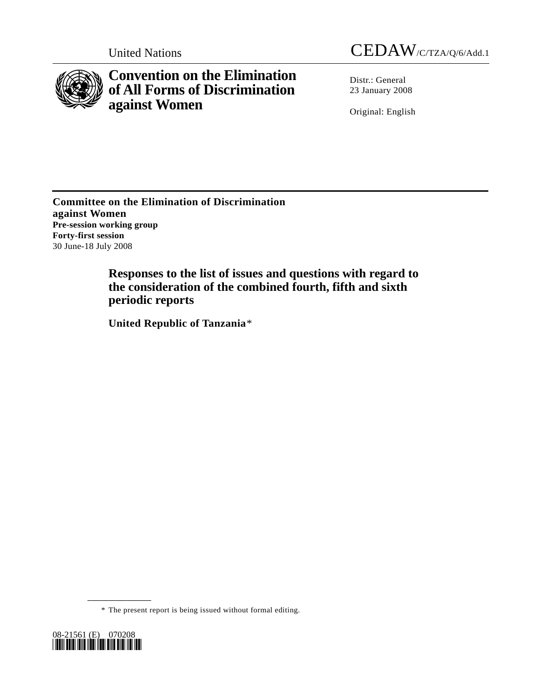

**Convention on the Elimination of All Forms of Discrimination against Women** 

United Nations CEDAW/C/TZA/Q/6/Add.1

Distr.: General 23 January 2008

Original: English

**Committee on the Elimination of Discrimination against Women Pre-session working group Forty-first session**  30 June-18 July 2008

> **Responses to the list of issues and questions with regard to the consideration of the combined fourth, fifth and sixth periodic reports**

 **United Republic of Tanzania**[\\*](#page-0-0)

\* The present report is being issued without formal editing.

<span id="page-0-0"></span>

**\_\_\_\_\_\_\_\_\_\_\_\_\_\_\_\_\_\_**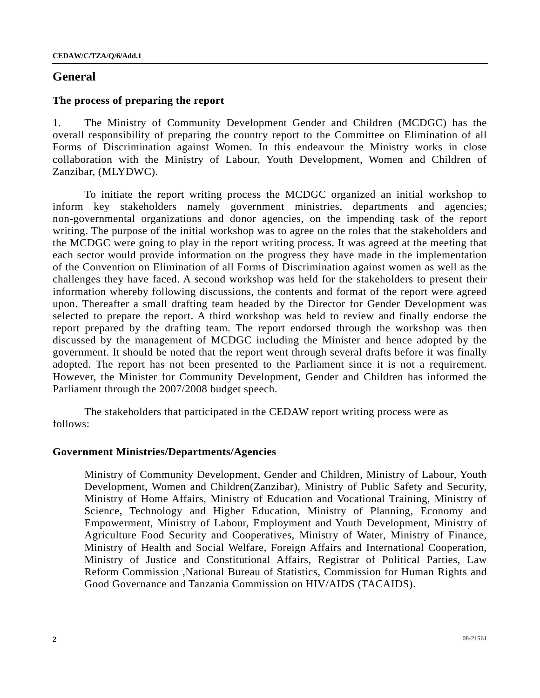# **General**

### **The process of preparing the report**

1. The Ministry of Community Development Gender and Children (MCDGC) has the overall responsibility of preparing the country report to the Committee on Elimination of all Forms of Discrimination against Women. In this endeavour the Ministry works in close collaboration with the Ministry of Labour, Youth Development, Women and Children of Zanzibar, (MLYDWC).

To initiate the report writing process the MCDGC organized an initial workshop to inform key stakeholders namely government ministries, departments and agencies; non-governmental organizations and donor agencies, on the impending task of the report writing. The purpose of the initial workshop was to agree on the roles that the stakeholders and the MCDGC were going to play in the report writing process. It was agreed at the meeting that each sector would provide information on the progress they have made in the implementation of the Convention on Elimination of all Forms of Discrimination against women as well as the challenges they have faced. A second workshop was held for the stakeholders to present their information whereby following discussions, the contents and format of the report were agreed upon. Thereafter a small drafting team headed by the Director for Gender Development was selected to prepare the report. A third workshop was held to review and finally endorse the report prepared by the drafting team. The report endorsed through the workshop was then discussed by the management of MCDGC including the Minister and hence adopted by the government. It should be noted that the report went through several drafts before it was finally adopted. The report has not been presented to the Parliament since it is not a requirement. However, the Minister for Community Development, Gender and Children has informed the Parliament through the 2007/2008 budget speech.

The stakeholders that participated in the CEDAW report writing process were as follows:

### **Government Ministries/Departments/Agencies**

 Ministry of Community Development, Gender and Children, Ministry of Labour, Youth Development, Women and Children(Zanzibar), Ministry of Public Safety and Security, Ministry of Home Affairs, Ministry of Education and Vocational Training, Ministry of Science, Technology and Higher Education, Ministry of Planning, Economy and Empowerment, Ministry of Labour, Employment and Youth Development, Ministry of Agriculture Food Security and Cooperatives, Ministry of Water, Ministry of Finance, Ministry of Health and Social Welfare, Foreign Affairs and International Cooperation, Ministry of Justice and Constitutional Affairs, Registrar of Political Parties, Law Reform Commission ,National Bureau of Statistics, Commission for Human Rights and Good Governance and Tanzania Commission on HIV/AIDS (TACAIDS).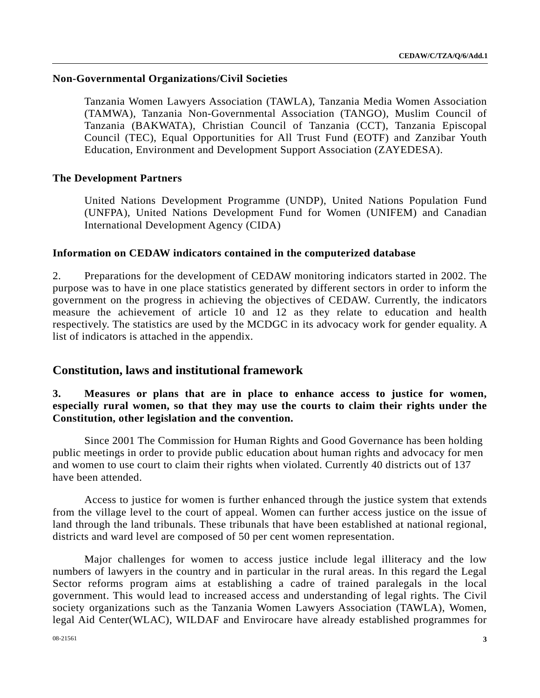## **Non-Governmental Organizations/Civil Societies**

Tanzania Women Lawyers Association (TAWLA), Tanzania Media Women Association (TAMWA), Tanzania Non-Governmental Association (TANGO), Muslim Council of Tanzania (BAKWATA), Christian Council of Tanzania (CCT), Tanzania Episcopal Council (TEC), Equal Opportunities for All Trust Fund (EOTF) and Zanzibar Youth Education, Environment and Development Support Association (ZAYEDESA).

## **The Development Partners**

United Nations Development Programme (UNDP), United Nations Population Fund (UNFPA), United Nations Development Fund for Women (UNIFEM) and Canadian International Development Agency (CIDA)

### **Information on CEDAW indicators contained in the computerized database**

2. Preparations for the development of CEDAW monitoring indicators started in 2002. The purpose was to have in one place statistics generated by different sectors in order to inform the government on the progress in achieving the objectives of CEDAW. Currently, the indicators measure the achievement of article 10 and 12 as they relate to education and health respectively. The statistics are used by the MCDGC in its advocacy work for gender equality. A list of indicators is attached in the appendix.

# **Constitution, laws and institutional framework**

# **3. Measures or plans that are in place to enhance access to justice for women, especially rural women, so that they may use the courts to claim their rights under the Constitution, other legislation and the convention.**

 Since 2001 The Commission for Human Rights and Good Governance has been holding public meetings in order to provide public education about human rights and advocacy for men and women to use court to claim their rights when violated. Currently 40 districts out of 137 have been attended.

Access to justice for women is further enhanced through the justice system that extends from the village level to the court of appeal. Women can further access justice on the issue of land through the land tribunals. These tribunals that have been established at national regional, districts and ward level are composed of 50 per cent women representation.

Major challenges for women to access justice include legal illiteracy and the low numbers of lawyers in the country and in particular in the rural areas. In this regard the Legal Sector reforms program aims at establishing a cadre of trained paralegals in the local government. This would lead to increased access and understanding of legal rights. The Civil society organizations such as the Tanzania Women Lawyers Association (TAWLA), Women, legal Aid Center(WLAC), WILDAF and Envirocare have already established programmes for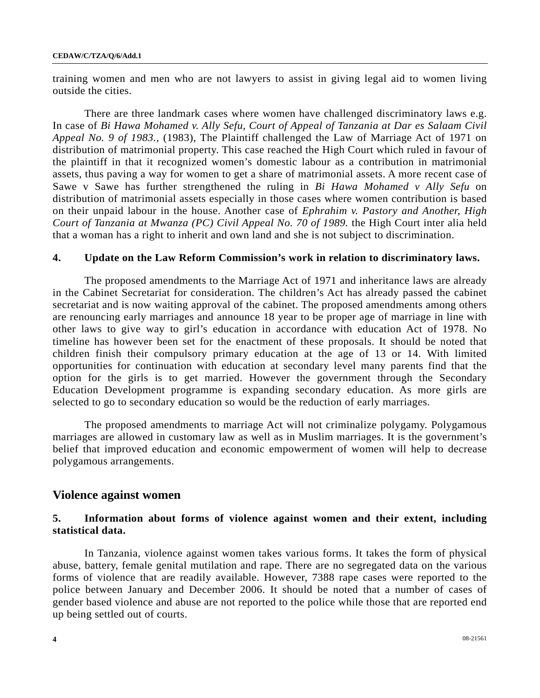training women and men who are not lawyers to assist in giving legal aid to women living outside the cities.

There are three landmark cases where women have challenged discriminatory laws e.g. In case of *Bi Hawa Mohamed v. Ally Sefu, Court of Appeal of Tanzania at Dar es Salaam Civil Appeal No. 9 of 1983.,* (1983), The Plaintiff challenged the Law of Marriage Act of 1971 on distribution of matrimonial property. This case reached the High Court which ruled in favour of the plaintiff in that it recognized women's domestic labour as a contribution in matrimonial assets, thus paving a way for women to get a share of matrimonial assets. A more recent case of Sawe v Sawe has further strengthened the ruling in *Bi Hawa Mohamed v Ally Sefu* on distribution of matrimonial assets especially in those cases where women contribution is based on their unpaid labour in the house. Another case of *Ephrahim v. Pastory and Another, High Court of Tanzania at Mwanza (PC) Civil Appeal No. 70 of 1989.* the High Court inter alia held that a woman has a right to inherit and own land and she is not subject to discrimination.

### **4. Update on the Law Reform Commission's work in relation to discriminatory laws.**

 The proposed amendments to the Marriage Act of 1971 and inheritance laws are already in the Cabinet Secretariat for consideration. The children's Act has already passed the cabinet secretariat and is now waiting approval of the cabinet. The proposed amendments among others are renouncing early marriages and announce 18 year to be proper age of marriage in line with other laws to give way to girl's education in accordance with education Act of 1978. No timeline has however been set for the enactment of these proposals. It should be noted that children finish their compulsory primary education at the age of 13 or 14. With limited opportunities for continuation with education at secondary level many parents find that the option for the girls is to get married. However the government through the Secondary Education Development programme is expanding secondary education. As more girls are selected to go to secondary education so would be the reduction of early marriages.

 The proposed amendments to marriage Act will not criminalize polygamy. Polygamous marriages are allowed in customary law as well as in Muslim marriages. It is the government's belief that improved education and economic empowerment of women will help to decrease polygamous arrangements.

### **Violence against women**

## **5. Information about forms of violence against women and their extent, including statistical data.**

 In Tanzania, violence against women takes various forms. It takes the form of physical abuse, battery, female genital mutilation and rape. There are no segregated data on the various forms of violence that are readily available. However, 7388 rape cases were reported to the police between January and December 2006. It should be noted that a number of cases of gender based violence and abuse are not reported to the police while those that are reported end up being settled out of courts.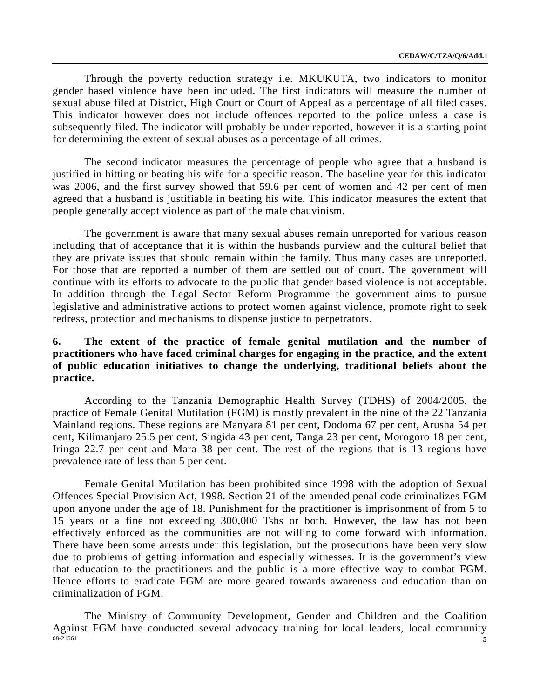Through the poverty reduction strategy i.e. MKUKUTA, two indicators to monitor gender based violence have been included. The first indicators will measure the number of sexual abuse filed at District, High Court or Court of Appeal as a percentage of all filed cases. This indicator however does not include offences reported to the police unless a case is subsequently filed. The indicator will probably be under reported, however it is a starting point for determining the extent of sexual abuses as a percentage of all crimes.

 The second indicator measures the percentage of people who agree that a husband is justified in hitting or beating his wife for a specific reason. The baseline year for this indicator was 2006, and the first survey showed that 59.6 per cent of women and 42 per cent of men agreed that a husband is justifiable in beating his wife. This indicator measures the extent that people generally accept violence as part of the male chauvinism.

The government is aware that many sexual abuses remain unreported for various reason including that of acceptance that it is within the husbands purview and the cultural belief that they are private issues that should remain within the family. Thus many cases are unreported. For those that are reported a number of them are settled out of court. The government will continue with its efforts to advocate to the public that gender based violence is not acceptable. In addition through the Legal Sector Reform Programme the government aims to pursue legislative and administrative actions to protect women against violence, promote right to seek redress, protection and mechanisms to dispense justice to perpetrators.

# **6. The extent of the practice of female genital mutilation and the number of practitioners who have faced criminal charges for engaging in the practice, and the extent of public education initiatives to change the underlying, traditional beliefs about the practice.**

 According to the Tanzania Demographic Health Survey (TDHS) of 2004/2005, the practice of Female Genital Mutilation (FGM) is mostly prevalent in the nine of the 22 Tanzania Mainland regions. These regions are Manyara 81 per cent, Dodoma 67 per cent, Arusha 54 per cent, Kilimanjaro 25.5 per cent, Singida 43 per cent, Tanga 23 per cent, Morogoro 18 per cent, Iringa 22.7 per cent and Mara 38 per cent. The rest of the regions that is 13 regions have prevalence rate of less than 5 per cent.

 Female Genital Mutilation has been prohibited since 1998 with the adoption of Sexual Offences Special Provision Act, 1998. Section 21 of the amended penal code criminalizes FGM upon anyone under the age of 18. Punishment for the practitioner is imprisonment of from 5 to 15 years or a fine not exceeding 300,000 Tshs or both. However, the law has not been effectively enforced as the communities are not willing to come forward with information. There have been some arrests under this legislation, but the prosecutions have been very slow due to problems of getting information and especially witnesses. It is the government's view that education to the practitioners and the public is a more effective way to combat FGM. Hence efforts to eradicate FGM are more geared towards awareness and education than on criminalization of FGM.

08-21561 **5**  The Ministry of Community Development, Gender and Children and the Coalition Against FGM have conducted several advocacy training for local leaders, local community  $\frac{68-21561}{5}$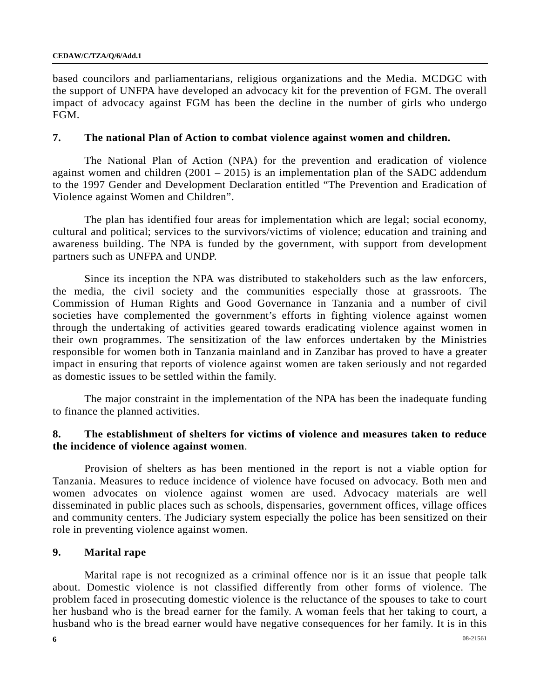based councilors and parliamentarians, religious organizations and the Media. MCDGC with the support of UNFPA have developed an advocacy kit for the prevention of FGM. The overall impact of advocacy against FGM has been the decline in the number of girls who undergo FGM.

## **7. The national Plan of Action to combat violence against women and children.**

 The National Plan of Action (NPA) for the prevention and eradication of violence against women and children  $(2001 - 2015)$  is an implementation plan of the SADC addendum to the 1997 Gender and Development Declaration entitled "The Prevention and Eradication of Violence against Women and Children".

 The plan has identified four areas for implementation which are legal; social economy, cultural and political; services to the survivors/victims of violence; education and training and awareness building. The NPA is funded by the government, with support from development partners such as UNFPA and UNDP.

 Since its inception the NPA was distributed to stakeholders such as the law enforcers, the media, the civil society and the communities especially those at grassroots. The Commission of Human Rights and Good Governance in Tanzania and a number of civil societies have complemented the government's efforts in fighting violence against women through the undertaking of activities geared towards eradicating violence against women in their own programmes. The sensitization of the law enforces undertaken by the Ministries responsible for women both in Tanzania mainland and in Zanzibar has proved to have a greater impact in ensuring that reports of violence against women are taken seriously and not regarded as domestic issues to be settled within the family.

 The major constraint in the implementation of the NPA has been the inadequate funding to finance the planned activities.

# **8. The establishment of shelters for victims of violence and measures taken to reduce the incidence of violence against women**.

 Provision of shelters as has been mentioned in the report is not a viable option for Tanzania. Measures to reduce incidence of violence have focused on advocacy. Both men and women advocates on violence against women are used. Advocacy materials are well disseminated in public places such as schools, dispensaries, government offices, village offices and community centers. The Judiciary system especially the police has been sensitized on their role in preventing violence against women.

# **9. Marital rape**

Marital rape is not recognized as a criminal offence nor is it an issue that people talk about. Domestic violence is not classified differently from other forms of violence. The problem faced in prosecuting domestic violence is the reluctance of the spouses to take to court her husband who is the bread earner for the family. A woman feels that her taking to court, a husband who is the bread earner would have negative consequences for her family. It is in this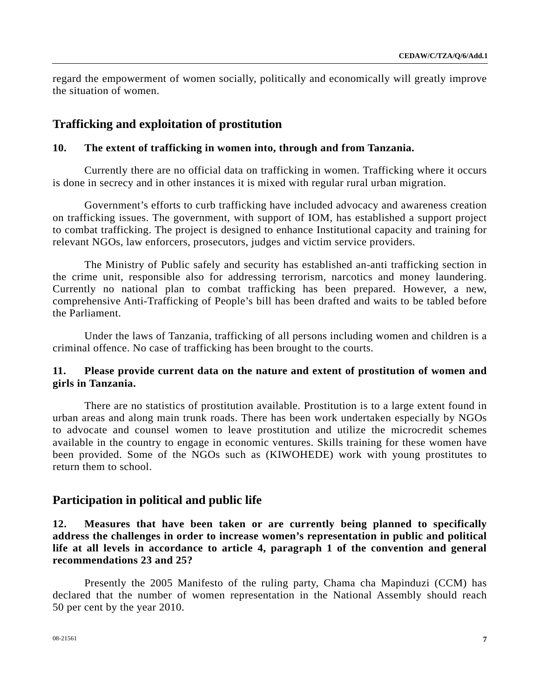regard the empowerment of women socially, politically and economically will greatly improve the situation of women.

# **Trafficking and exploitation of prostitution**

#### **10. The extent of trafficking in women into, through and from Tanzania.**

 Currently there are no official data on trafficking in women. Trafficking where it occurs is done in secrecy and in other instances it is mixed with regular rural urban migration.

 Government's efforts to curb trafficking have included advocacy and awareness creation on trafficking issues. The government, with support of IOM, has established a support project to combat trafficking. The project is designed to enhance Institutional capacity and training for relevant NGOs, law enforcers, prosecutors, judges and victim service providers.

 The Ministry of Public safely and security has established an-anti trafficking section in the crime unit, responsible also for addressing terrorism, narcotics and money laundering. Currently no national plan to combat trafficking has been prepared. However, a new, comprehensive Anti-Trafficking of People's bill has been drafted and waits to be tabled before the Parliament.

 Under the laws of Tanzania, trafficking of all persons including women and children is a criminal offence. No case of trafficking has been brought to the courts.

## **11. Please provide current data on the nature and extent of prostitution of women and girls in Tanzania.**

 There are no statistics of prostitution available. Prostitution is to a large extent found in urban areas and along main trunk roads. There has been work undertaken especially by NGOs to advocate and counsel women to leave prostitution and utilize the microcredit schemes available in the country to engage in economic ventures. Skills training for these women have been provided. Some of the NGOs such as (KIWOHEDE) work with young prostitutes to return them to school.

## **Participation in political and public life**

# **12. Measures that have been taken or are currently being planned to specifically address the challenges in order to increase women's representation in public and political life at all levels in accordance to article 4, paragraph 1 of the convention and general recommendations 23 and 25?**

Presently the 2005 Manifesto of the ruling party, Chama cha Mapinduzi (CCM) has declared that the number of women representation in the National Assembly should reach 50 per cent by the year 2010.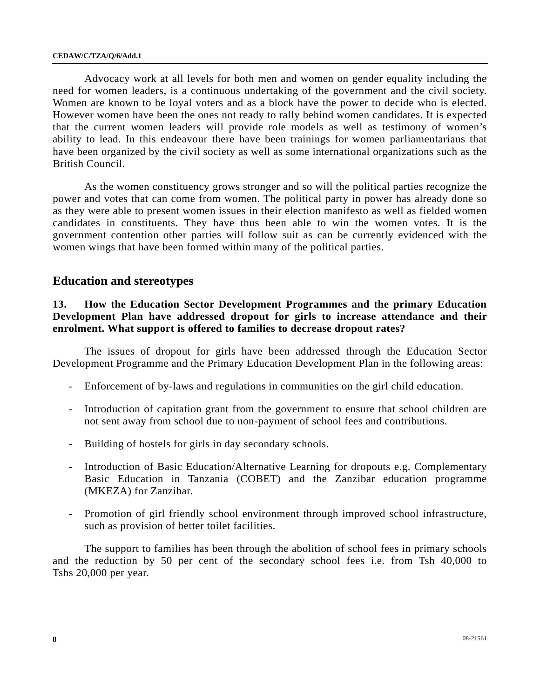Advocacy work at all levels for both men and women on gender equality including the need for women leaders, is a continuous undertaking of the government and the civil society. Women are known to be loyal voters and as a block have the power to decide who is elected. However women have been the ones not ready to rally behind women candidates. It is expected that the current women leaders will provide role models as well as testimony of women's ability to lead. In this endeavour there have been trainings for women parliamentarians that have been organized by the civil society as well as some international organizations such as the British Council.

 As the women constituency grows stronger and so will the political parties recognize the power and votes that can come from women. The political party in power has already done so as they were able to present women issues in their election manifesto as well as fielded women candidates in constituents. They have thus been able to win the women votes. It is the government contention other parties will follow suit as can be currently evidenced with the women wings that have been formed within many of the political parties.

# **Education and stereotypes**

# **13. How the Education Sector Development Programmes and the primary Education Development Plan have addressed dropout for girls to increase attendance and their enrolment. What support is offered to families to decrease dropout rates?**

The issues of dropout for girls have been addressed through the Education Sector Development Programme and the Primary Education Development Plan in the following areas:

- Enforcement of by-laws and regulations in communities on the girl child education.
- Introduction of capitation grant from the government to ensure that school children are not sent away from school due to non-payment of school fees and contributions.
- Building of hostels for girls in day secondary schools.
- Introduction of Basic Education/Alternative Learning for dropouts e.g. Complementary Basic Education in Tanzania (COBET) and the Zanzibar education programme (MKEZA) for Zanzibar.
- Promotion of girl friendly school environment through improved school infrastructure, such as provision of better toilet facilities.

 The support to families has been through the abolition of school fees in primary schools and the reduction by 50 per cent of the secondary school fees i.e. from Tsh 40,000 to Tshs 20,000 per year.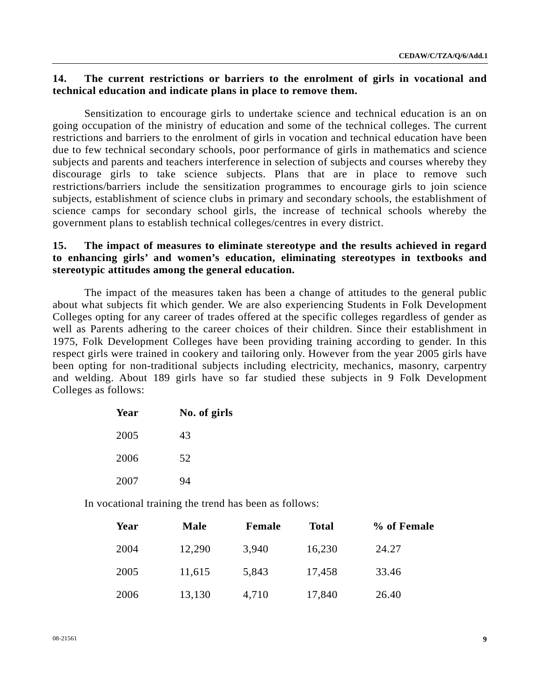# **14. The current restrictions or barriers to the enrolment of girls in vocational and technical education and indicate plans in place to remove them.**

Sensitization to encourage girls to undertake science and technical education is an on going occupation of the ministry of education and some of the technical colleges. The current restrictions and barriers to the enrolment of girls in vocation and technical education have been due to few technical secondary schools, poor performance of girls in mathematics and science subjects and parents and teachers interference in selection of subjects and courses whereby they discourage girls to take science subjects. Plans that are in place to remove such restrictions/barriers include the sensitization programmes to encourage girls to join science subjects, establishment of science clubs in primary and secondary schools, the establishment of science camps for secondary school girls, the increase of technical schools whereby the government plans to establish technical colleges/centres in every district.

# **15. The impact of measures to eliminate stereotype and the results achieved in regard to enhancing girls' and women's education, eliminating stereotypes in textbooks and stereotypic attitudes among the general education.**

The impact of the measures taken has been a change of attitudes to the general public about what subjects fit which gender. We are also experiencing Students in Folk Development Colleges opting for any career of trades offered at the specific colleges regardless of gender as well as Parents adhering to the career choices of their children. Since their establishment in 1975, Folk Development Colleges have been providing training according to gender. In this respect girls were trained in cookery and tailoring only. However from the year 2005 girls have been opting for non-traditional subjects including electricity, mechanics, masonry, carpentry and welding. About 189 girls have so far studied these subjects in 9 Folk Development Colleges as follows:

| Year | No. of girls |  |
|------|--------------|--|
| 2005 | 43           |  |
| 2006 | 52           |  |
| 2007 | 94           |  |

In vocational training the trend has been as follows:

| Year | <b>Male</b> | <b>Female</b> | <b>Total</b> | % of Female |
|------|-------------|---------------|--------------|-------------|
| 2004 | 12,290      | 3,940         | 16,230       | 24.27       |
| 2005 | 11,615      | 5,843         | 17,458       | 33.46       |
| 2006 | 13,130      | 4,710         | 17,840       | 26.40       |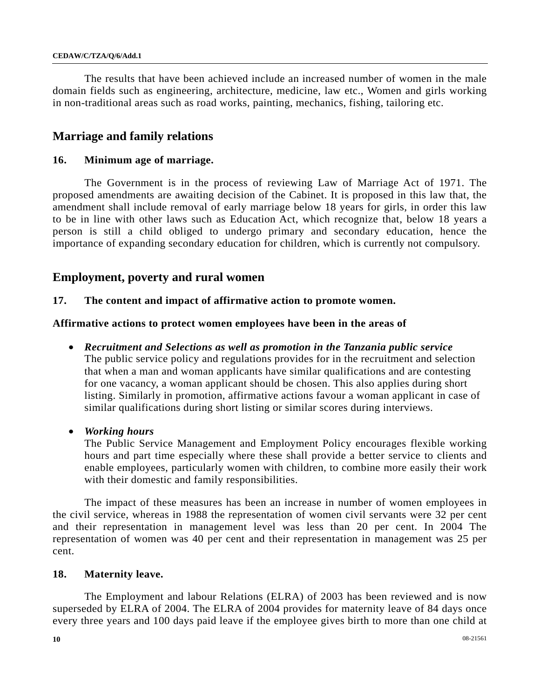The results that have been achieved include an increased number of women in the male domain fields such as engineering, architecture, medicine, law etc., Women and girls working in non-traditional areas such as road works, painting, mechanics, fishing, tailoring etc.

# **Marriage and family relations**

# **16. Minimum age of marriage.**

 The Government is in the process of reviewing Law of Marriage Act of 1971. The proposed amendments are awaiting decision of the Cabinet. It is proposed in this law that, the amendment shall include removal of early marriage below 18 years for girls, in order this law to be in line with other laws such as Education Act, which recognize that, below 18 years a person is still a child obliged to undergo primary and secondary education, hence the importance of expanding secondary education for children, which is currently not compulsory.

# **Employment, poverty and rural women**

## **17. The content and impact of affirmative action to promote women.**

## **Affirmative actions to protect women employees have been in the areas of**

- *Recruitment and Selections as well as promotion in the Tanzania public service*  The public service policy and regulations provides for in the recruitment and selection that when a man and woman applicants have similar qualifications and are contesting for one vacancy, a woman applicant should be chosen. This also applies during short listing. Similarly in promotion, affirmative actions favour a woman applicant in case of similar qualifications during short listing or similar scores during interviews.
- *Working hours*

The Public Service Management and Employment Policy encourages flexible working hours and part time especially where these shall provide a better service to clients and enable employees, particularly women with children, to combine more easily their work with their domestic and family responsibilities.

 The impact of these measures has been an increase in number of women employees in the civil service, whereas in 1988 the representation of women civil servants were 32 per cent and their representation in management level was less than 20 per cent. In 2004 The representation of women was 40 per cent and their representation in management was 25 per cent.

## **18. Maternity leave.**

 The Employment and labour Relations (ELRA) of 2003 has been reviewed and is now superseded by ELRA of 2004. The ELRA of 2004 provides for maternity leave of 84 days once every three years and 100 days paid leave if the employee gives birth to more than one child at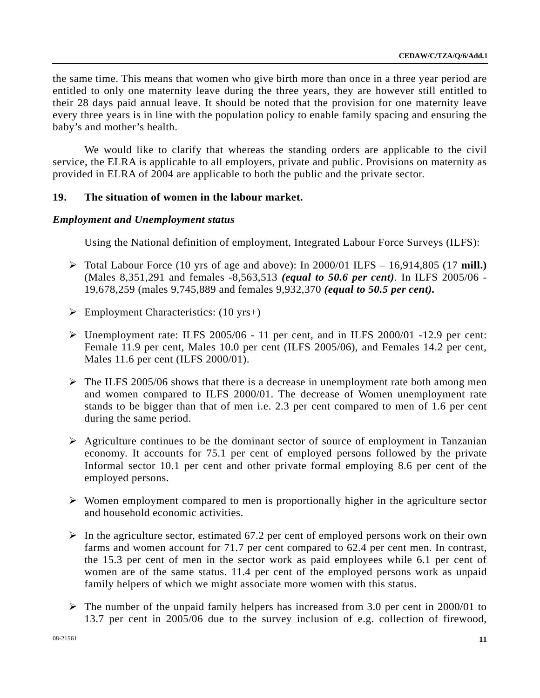the same time. This means that women who give birth more than once in a three year period are entitled to only one maternity leave during the three years, they are however still entitled to their 28 days paid annual leave. It should be noted that the provision for one maternity leave every three years is in line with the population policy to enable family spacing and ensuring the baby's and mother's health.

 We would like to clarify that whereas the standing orders are applicable to the civil service, the ELRA is applicable to all employers, private and public. Provisions on maternity as provided in ELRA of 2004 are applicable to both the public and the private sector.

## **19. The situation of women in the labour market.**

### *Employment and Unemployment status*

Using the National definition of employment, Integrated Labour Force Surveys (ILFS):

- ¾ Total Labour Force (10 yrs of age and above): In 2000/01 ILFS 16,914,805 (17 **mill.)**  (Males 8,351,291 and females -8,563,513 *(equal to 50.6 per cent)*. In ILFS 2005/06 - 19,678,259 (males 9,745,889 and females 9,932,370 *(equal to 50.5 per cent).*
- $\triangleright$  Employment Characteristics: (10 yrs+)
- $\triangleright$  Unemployment rate: ILFS 2005/06 11 per cent, and in ILFS 2000/01 -12.9 per cent: Female 11.9 per cent, Males 10.0 per cent (ILFS 2005/06), and Females 14.2 per cent, Males 11.6 per cent (ILFS 2000/01).
- $\triangleright$  The ILFS 2005/06 shows that there is a decrease in unemployment rate both among men and women compared to ILFS 2000/01. The decrease of Women unemployment rate stands to be bigger than that of men i.e. 2.3 per cent compared to men of 1.6 per cent during the same period.
- $\triangleright$  Agriculture continues to be the dominant sector of source of employment in Tanzanian economy. It accounts for 75.1 per cent of employed persons followed by the private Informal sector 10.1 per cent and other private formal employing 8.6 per cent of the employed persons.
- $\triangleright$  Women employment compared to men is proportionally higher in the agriculture sector and household economic activities.
- $\triangleright$  In the agriculture sector, estimated 67.2 per cent of employed persons work on their own farms and women account for 71.7 per cent compared to 62.4 per cent men. In contrast, the 15.3 per cent of men in the sector work as paid employees while 6.1 per cent of women are of the same status. 11.4 per cent of the employed persons work as unpaid family helpers of which we might associate more women with this status.
- $\triangleright$  The number of the unpaid family helpers has increased from 3.0 per cent in 2000/01 to 13.7 per cent in 2005/06 due to the survey inclusion of e.g. collection of firewood,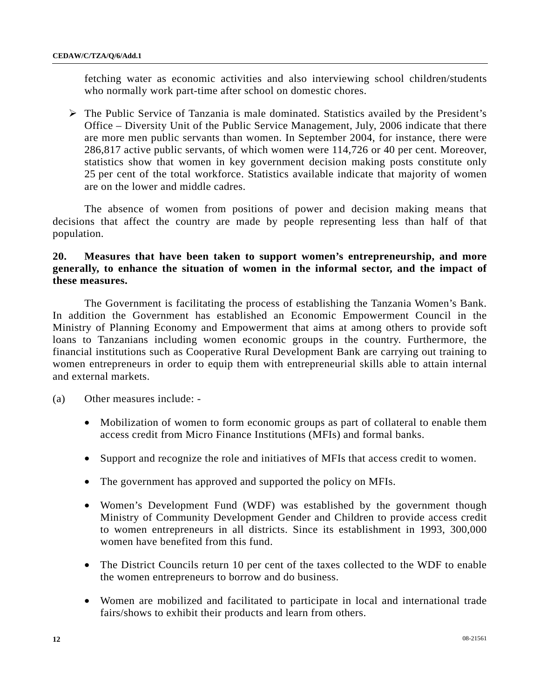fetching water as economic activities and also interviewing school children/students who normally work part-time after school on domestic chores.

 $\triangleright$  The Public Service of Tanzania is male dominated. Statistics availed by the President's Office – Diversity Unit of the Public Service Management, July, 2006 indicate that there are more men public servants than women. In September 2004, for instance, there were 286,817 active public servants, of which women were 114,726 or 40 per cent. Moreover, statistics show that women in key government decision making posts constitute only 25 per cent of the total workforce. Statistics available indicate that majority of women are on the lower and middle cadres.

 The absence of women from positions of power and decision making means that decisions that affect the country are made by people representing less than half of that population.

# **20. Measures that have been taken to support women's entrepreneurship, and more generally, to enhance the situation of women in the informal sector, and the impact of these measures.**

The Government is facilitating the process of establishing the Tanzania Women's Bank. In addition the Government has established an Economic Empowerment Council in the Ministry of Planning Economy and Empowerment that aims at among others to provide soft loans to Tanzanians including women economic groups in the country. Furthermore, the financial institutions such as Cooperative Rural Development Bank are carrying out training to women entrepreneurs in order to equip them with entrepreneurial skills able to attain internal and external markets.

- (a) Other measures include:
	- Mobilization of women to form economic groups as part of collateral to enable them access credit from Micro Finance Institutions (MFIs) and formal banks.
	- Support and recognize the role and initiatives of MFIs that access credit to women.
	- The government has approved and supported the policy on MFIs.
	- Women's Development Fund (WDF) was established by the government though Ministry of Community Development Gender and Children to provide access credit to women entrepreneurs in all districts. Since its establishment in 1993, 300,000 women have benefited from this fund.
	- The District Councils return 10 per cent of the taxes collected to the WDF to enable the women entrepreneurs to borrow and do business.
	- Women are mobilized and facilitated to participate in local and international trade fairs/shows to exhibit their products and learn from others.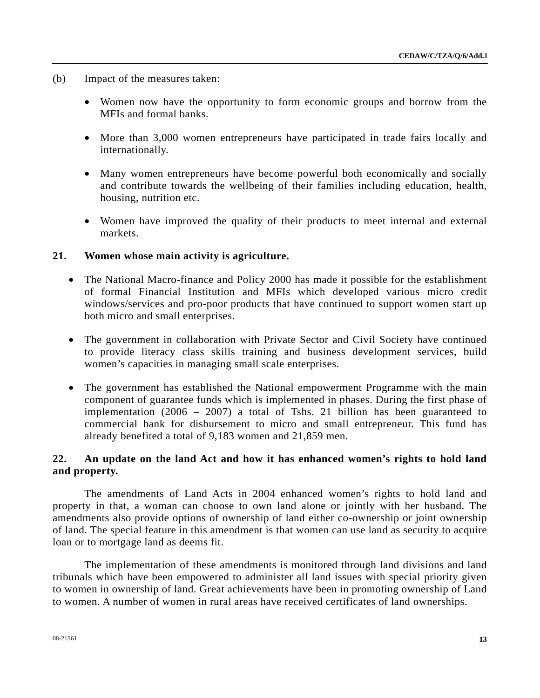- (b) Impact of the measures taken:
	- Women now have the opportunity to form economic groups and borrow from the MFIs and formal banks.
	- More than 3,000 women entrepreneurs have participated in trade fairs locally and internationally.
	- Many women entrepreneurs have become powerful both economically and socially and contribute towards the wellbeing of their families including education, health, housing, nutrition etc.
	- Women have improved the quality of their products to meet internal and external markets.

## **21. Women whose main activity is agriculture.**

- The National Macro-finance and Policy 2000 has made it possible for the establishment of formal Financial Institution and MFIs which developed various micro credit windows/services and pro-poor products that have continued to support women start up both micro and small enterprises.
- The government in collaboration with Private Sector and Civil Society have continued to provide literacy class skills training and business development services, build women's capacities in managing small scale enterprises.
- The government has established the National empowerment Programme with the main component of guarantee funds which is implemented in phases. During the first phase of implementation (2006 – 2007) a total of Tshs. 21 billion has been guaranteed to commercial bank for disbursement to micro and small entrepreneur. This fund has already benefited a total of 9,183 women and 21,859 men.

# **22. An update on the land Act and how it has enhanced women's rights to hold land and property.**

 The amendments of Land Acts in 2004 enhanced women's rights to hold land and property in that, a woman can choose to own land alone or jointly with her husband. The amendments also provide options of ownership of land either co-ownership or joint ownership of land. The special feature in this amendment is that women can use land as security to acquire loan or to mortgage land as deems fit.

 The implementation of these amendments is monitored through land divisions and land tribunals which have been empowered to administer all land issues with special priority given to women in ownership of land. Great achievements have been in promoting ownership of Land to women. A number of women in rural areas have received certificates of land ownerships.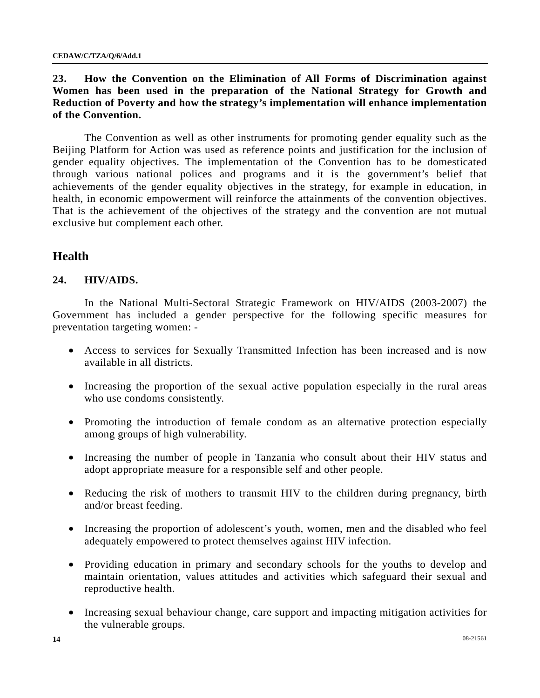# **23. How the Convention on the Elimination of All Forms of Discrimination against Women has been used in the preparation of the National Strategy for Growth and Reduction of Poverty and how the strategy's implementation will enhance implementation of the Convention.**

The Convention as well as other instruments for promoting gender equality such as the Beijing Platform for Action was used as reference points and justification for the inclusion of gender equality objectives. The implementation of the Convention has to be domesticated through various national polices and programs and it is the government's belief that achievements of the gender equality objectives in the strategy, for example in education, in health, in economic empowerment will reinforce the attainments of the convention objectives. That is the achievement of the objectives of the strategy and the convention are not mutual exclusive but complement each other.

# **Health**

# **24. HIV/AIDS.**

In the National Multi-Sectoral Strategic Framework on HIV/AIDS (2003-2007) the Government has included a gender perspective for the following specific measures for preventation targeting women: -

- Access to services for Sexually Transmitted Infection has been increased and is now available in all districts.
- Increasing the proportion of the sexual active population especially in the rural areas who use condoms consistently.
- Promoting the introduction of female condom as an alternative protection especially among groups of high vulnerability.
- Increasing the number of people in Tanzania who consult about their HIV status and adopt appropriate measure for a responsible self and other people.
- Reducing the risk of mothers to transmit HIV to the children during pregnancy, birth and/or breast feeding.
- Increasing the proportion of adolescent's youth, women, men and the disabled who feel adequately empowered to protect themselves against HIV infection.
- Providing education in primary and secondary schools for the youths to develop and maintain orientation, values attitudes and activities which safeguard their sexual and reproductive health.
- Increasing sexual behaviour change, care support and impacting mitigation activities for the vulnerable groups.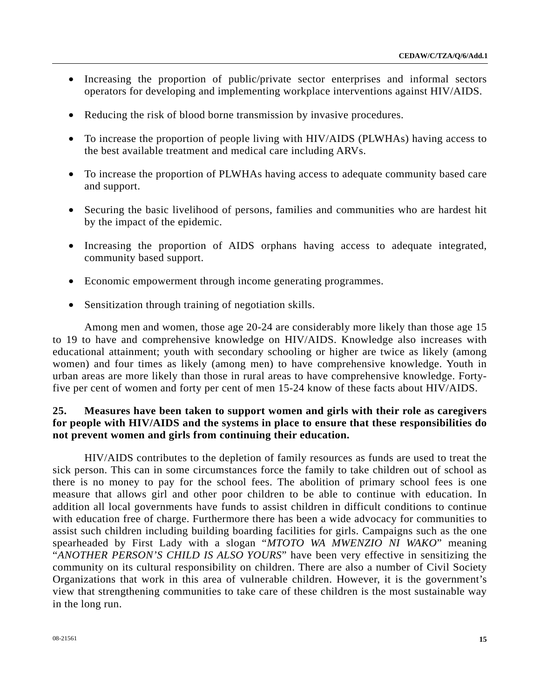- Increasing the proportion of public/private sector enterprises and informal sectors operators for developing and implementing workplace interventions against HIV/AIDS.
- Reducing the risk of blood borne transmission by invasive procedures.
- To increase the proportion of people living with HIV/AIDS (PLWHAs) having access to the best available treatment and medical care including ARVs.
- To increase the proportion of PLWHAs having access to adequate community based care and support.
- Securing the basic livelihood of persons, families and communities who are hardest hit by the impact of the epidemic.
- Increasing the proportion of AIDS orphans having access to adequate integrated, community based support.
- Economic empowerment through income generating programmes.
- Sensitization through training of negotiation skills.

 Among men and women, those age 20-24 are considerably more likely than those age 15 to 19 to have and comprehensive knowledge on HIV/AIDS. Knowledge also increases with educational attainment; youth with secondary schooling or higher are twice as likely (among women) and four times as likely (among men) to have comprehensive knowledge. Youth in urban areas are more likely than those in rural areas to have comprehensive knowledge. Fortyfive per cent of women and forty per cent of men 15-24 know of these facts about HIV/AIDS.

# **25. Measures have been taken to support women and girls with their role as caregivers for people with HIV/AIDS and the systems in place to ensure that these responsibilities do not prevent women and girls from continuing their education.**

 HIV/AIDS contributes to the depletion of family resources as funds are used to treat the sick person. This can in some circumstances force the family to take children out of school as there is no money to pay for the school fees. The abolition of primary school fees is one measure that allows girl and other poor children to be able to continue with education. In addition all local governments have funds to assist children in difficult conditions to continue with education free of charge. Furthermore there has been a wide advocacy for communities to assist such children including building boarding facilities for girls. Campaigns such as the one spearheaded by First Lady with a slogan "*MTOTO WA MWENZIO NI WAKO*" meaning "*ANOTHER PERSON'S CHILD IS ALSO YOURS*" have been very effective in sensitizing the community on its cultural responsibility on children. There are also a number of Civil Society Organizations that work in this area of vulnerable children. However, it is the government's view that strengthening communities to take care of these children is the most sustainable way in the long run.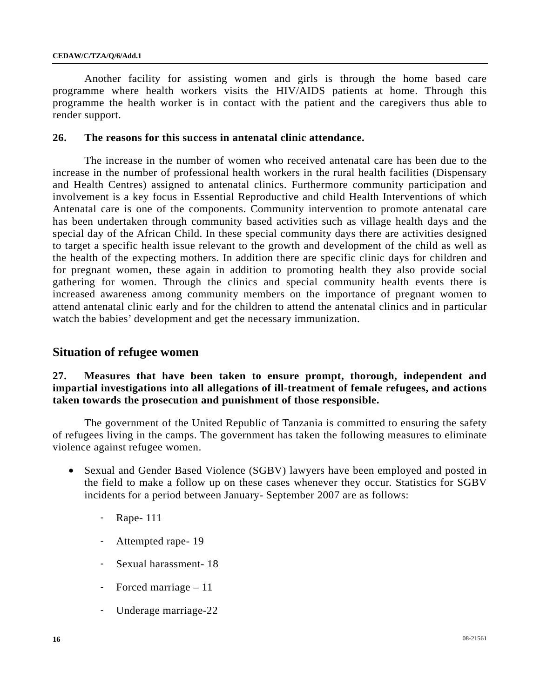#### **CEDAW/C/TZA/Q/6/Add.1**

 Another facility for assisting women and girls is through the home based care programme where health workers visits the HIV/AIDS patients at home. Through this programme the health worker is in contact with the patient and the caregivers thus able to render support.

### **26. The reasons for this success in antenatal clinic attendance.**

The increase in the number of women who received antenatal care has been due to the increase in the number of professional health workers in the rural health facilities (Dispensary and Health Centres) assigned to antenatal clinics. Furthermore community participation and involvement is a key focus in Essential Reproductive and child Health Interventions of which Antenatal care is one of the components. Community intervention to promote antenatal care has been undertaken through community based activities such as village health days and the special day of the African Child. In these special community days there are activities designed to target a specific health issue relevant to the growth and development of the child as well as the health of the expecting mothers. In addition there are specific clinic days for children and for pregnant women, these again in addition to promoting health they also provide social gathering for women. Through the clinics and special community health events there is increased awareness among community members on the importance of pregnant women to attend antenatal clinic early and for the children to attend the antenatal clinics and in particular watch the babies' development and get the necessary immunization.

## **Situation of refugee women**

# **27. Measures that have been taken to ensure prompt, thorough, independent and impartial investigations into all allegations of ill-treatment of female refugees, and actions taken towards the prosecution and punishment of those responsible.**

 The government of the United Republic of Tanzania is committed to ensuring the safety of refugees living in the camps. The government has taken the following measures to eliminate violence against refugee women.

- Sexual and Gender Based Violence (SGBV) lawyers have been employed and posted in the field to make a follow up on these cases whenever they occur. Statistics for SGBV incidents for a period between January- September 2007 are as follows:
	- Rape- 111
	- Attempted rape-19
	- Sexual harassment- 18
	- Forced marriage 11
	- Underage marriage-22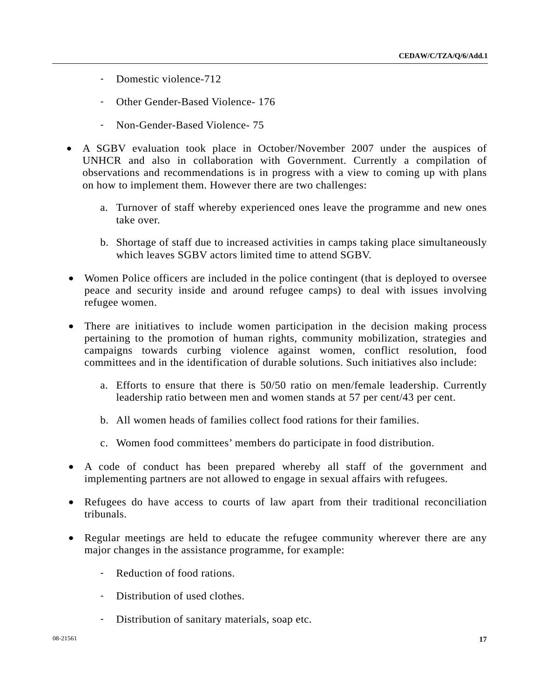- Domestic violence-712
- Other Gender-Based Violence- 176
- Non-Gender-Based Violence- 75
- A SGBV evaluation took place in October/November 2007 under the auspices of UNHCR and also in collaboration with Government. Currently a compilation of observations and recommendations is in progress with a view to coming up with plans on how to implement them. However there are two challenges:
	- a. Turnover of staff whereby experienced ones leave the programme and new ones take over.
	- b. Shortage of staff due to increased activities in camps taking place simultaneously which leaves SGBV actors limited time to attend SGBV.
- Women Police officers are included in the police contingent (that is deployed to oversee peace and security inside and around refugee camps) to deal with issues involving refugee women.
- There are initiatives to include women participation in the decision making process pertaining to the promotion of human rights, community mobilization, strategies and campaigns towards curbing violence against women, conflict resolution, food committees and in the identification of durable solutions. Such initiatives also include:
	- a. Efforts to ensure that there is 50/50 ratio on men/female leadership. Currently leadership ratio between men and women stands at 57 per cent/43 per cent.
	- b. All women heads of families collect food rations for their families.
	- c. Women food committees' members do participate in food distribution.
- A code of conduct has been prepared whereby all staff of the government and implementing partners are not allowed to engage in sexual affairs with refugees.
- Refugees do have access to courts of law apart from their traditional reconciliation tribunals.
- Regular meetings are held to educate the refugee community wherever there are any major changes in the assistance programme, for example:
	- Reduction of food rations.
	- Distribution of used clothes.
	- Distribution of sanitary materials, soap etc.